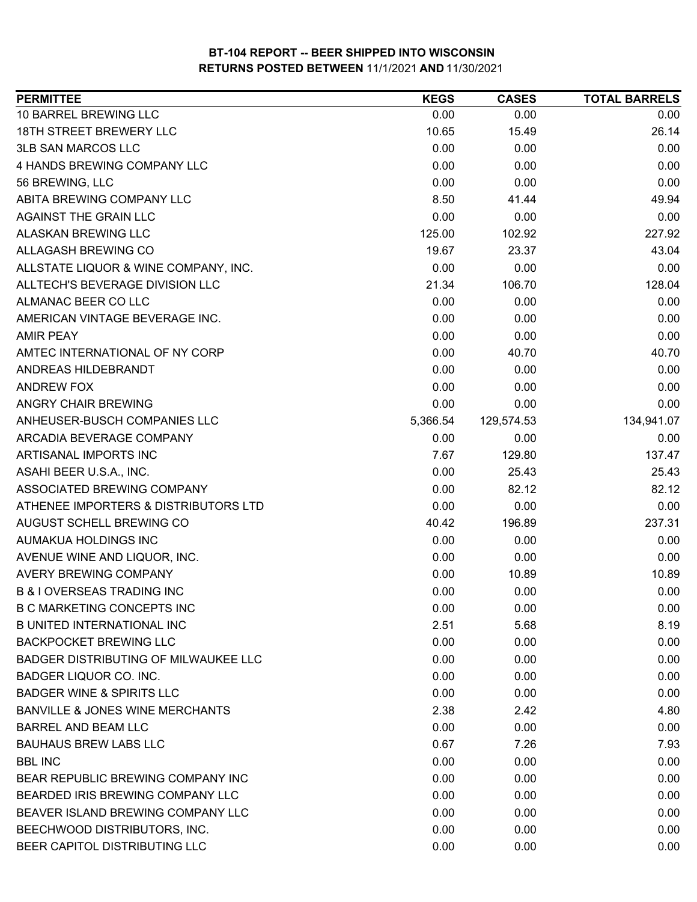| <b>PERMITTEE</b>                            | <b>KEGS</b> | <b>CASES</b> | <b>TOTAL BARRELS</b> |
|---------------------------------------------|-------------|--------------|----------------------|
| 10 BARREL BREWING LLC                       | 0.00        | 0.00         | 0.00                 |
| <b>18TH STREET BREWERY LLC</b>              | 10.65       | 15.49        | 26.14                |
| <b>3LB SAN MARCOS LLC</b>                   | 0.00        | 0.00         | 0.00                 |
| 4 HANDS BREWING COMPANY LLC                 | 0.00        | 0.00         | 0.00                 |
| 56 BREWING, LLC                             | 0.00        | 0.00         | 0.00                 |
| ABITA BREWING COMPANY LLC                   | 8.50        | 41.44        | 49.94                |
| <b>AGAINST THE GRAIN LLC</b>                | 0.00        | 0.00         | 0.00                 |
| <b>ALASKAN BREWING LLC</b>                  | 125.00      | 102.92       | 227.92               |
| <b>ALLAGASH BREWING CO</b>                  | 19.67       | 23.37        | 43.04                |
| ALLSTATE LIQUOR & WINE COMPANY, INC.        | 0.00        | 0.00         | 0.00                 |
| ALLTECH'S BEVERAGE DIVISION LLC             | 21.34       | 106.70       | 128.04               |
| ALMANAC BEER CO LLC                         | 0.00        | 0.00         | 0.00                 |
| AMERICAN VINTAGE BEVERAGE INC.              | 0.00        | 0.00         | 0.00                 |
| <b>AMIR PEAY</b>                            | 0.00        | 0.00         | 0.00                 |
| AMTEC INTERNATIONAL OF NY CORP              | 0.00        | 40.70        | 40.70                |
| ANDREAS HILDEBRANDT                         | 0.00        | 0.00         | 0.00                 |
| <b>ANDREW FOX</b>                           | 0.00        | 0.00         | 0.00                 |
| <b>ANGRY CHAIR BREWING</b>                  | 0.00        | 0.00         | 0.00                 |
| ANHEUSER-BUSCH COMPANIES LLC                | 5,366.54    | 129,574.53   | 134,941.07           |
| ARCADIA BEVERAGE COMPANY                    | 0.00        | 0.00         | 0.00                 |
| ARTISANAL IMPORTS INC                       | 7.67        | 129.80       | 137.47               |
| ASAHI BEER U.S.A., INC.                     | 0.00        | 25.43        | 25.43                |
| ASSOCIATED BREWING COMPANY                  | 0.00        | 82.12        | 82.12                |
| ATHENEE IMPORTERS & DISTRIBUTORS LTD        | 0.00        | 0.00         | 0.00                 |
| AUGUST SCHELL BREWING CO                    | 40.42       | 196.89       | 237.31               |
| AUMAKUA HOLDINGS INC                        | 0.00        | 0.00         | 0.00                 |
| AVENUE WINE AND LIQUOR, INC.                | 0.00        | 0.00         | 0.00                 |
| <b>AVERY BREWING COMPANY</b>                | 0.00        | 10.89        | 10.89                |
| <b>B &amp; I OVERSEAS TRADING INC</b>       | 0.00        | 0.00         | 0.00                 |
| <b>B C MARKETING CONCEPTS INC</b>           | 0.00        | 0.00         | 0.00                 |
| <b>B UNITED INTERNATIONAL INC</b>           | 2.51        | 5.68         | 8.19                 |
| <b>BACKPOCKET BREWING LLC</b>               | 0.00        | 0.00         | 0.00                 |
| <b>BADGER DISTRIBUTING OF MILWAUKEE LLC</b> | 0.00        | 0.00         | 0.00                 |
| BADGER LIQUOR CO. INC.                      | 0.00        | 0.00         | 0.00                 |
| <b>BADGER WINE &amp; SPIRITS LLC</b>        | 0.00        | 0.00         | 0.00                 |
| BANVILLE & JONES WINE MERCHANTS             | 2.38        | 2.42         | 4.80                 |
| <b>BARREL AND BEAM LLC</b>                  | 0.00        | 0.00         | 0.00                 |
| <b>BAUHAUS BREW LABS LLC</b>                | 0.67        | 7.26         | 7.93                 |
| <b>BBL INC</b>                              | 0.00        | 0.00         | 0.00                 |
| BEAR REPUBLIC BREWING COMPANY INC           | 0.00        | 0.00         | 0.00                 |
| BEARDED IRIS BREWING COMPANY LLC            | 0.00        | 0.00         | 0.00                 |
| BEAVER ISLAND BREWING COMPANY LLC           | 0.00        | 0.00         | 0.00                 |
| BEECHWOOD DISTRIBUTORS, INC.                | 0.00        | 0.00         | 0.00                 |
| BEER CAPITOL DISTRIBUTING LLC               | 0.00        | 0.00         | 0.00                 |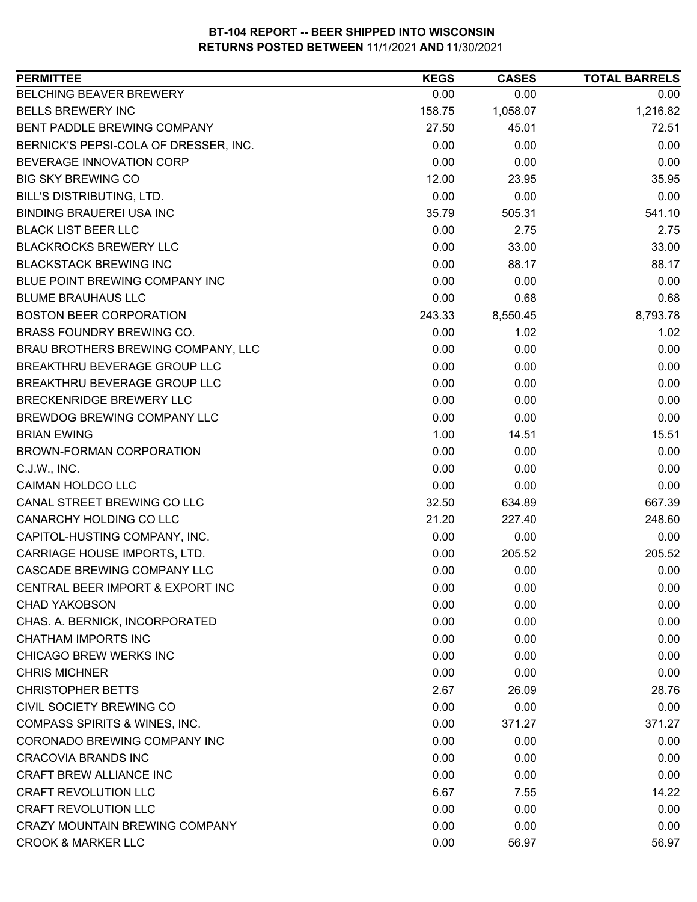| <b>BELCHING BEAVER BREWERY</b><br>0.00<br>0.00<br>0.00<br>1,216.82<br><b>BELLS BREWERY INC</b><br>158.75<br>1,058.07<br>BENT PADDLE BREWING COMPANY<br>45.01<br>72.51<br>27.50<br>0.00<br>0.00<br>BERNICK'S PEPSI-COLA OF DRESSER, INC.<br>0.00<br>BEVERAGE INNOVATION CORP<br>0.00<br>0.00<br>0.00<br><b>BIG SKY BREWING CO</b><br>12.00<br>23.95<br>35.95<br><b>BILL'S DISTRIBUTING, LTD.</b><br>0.00<br>0.00<br>0.00<br>541.10<br><b>BINDING BRAUEREI USA INC</b><br>35.79<br>505.31<br><b>BLACK LIST BEER LLC</b><br>0.00<br>2.75<br>2.75<br><b>BLACKROCKS BREWERY LLC</b><br>0.00<br>33.00<br>33.00<br><b>BLACKSTACK BREWING INC</b><br>0.00<br>88.17<br>88.17<br>BLUE POINT BREWING COMPANY INC<br>0.00<br>0.00<br>0.00<br>0.00<br>0.68<br><b>BLUME BRAUHAUS LLC</b><br>0.68<br><b>BOSTON BEER CORPORATION</b><br>8,550.45<br>8,793.78<br>243.33<br>BRASS FOUNDRY BREWING CO.<br>0.00<br>1.02<br>1.02<br>BRAU BROTHERS BREWING COMPANY, LLC<br>0.00<br>0.00<br>0.00<br>BREAKTHRU BEVERAGE GROUP LLC<br>0.00<br>0.00<br>0.00<br>BREAKTHRU BEVERAGE GROUP LLC<br>0.00<br>0.00<br>0.00<br><b>BRECKENRIDGE BREWERY LLC</b><br>0.00<br>0.00<br>0.00<br>BREWDOG BREWING COMPANY LLC<br>0.00<br>0.00<br>0.00<br>1.00<br>14.51<br>15.51<br><b>BRIAN EWING</b><br>BROWN-FORMAN CORPORATION<br>0.00<br>0.00<br>0.00<br>0.00<br>0.00<br>C.J.W., INC.<br>0.00 |
|---------------------------------------------------------------------------------------------------------------------------------------------------------------------------------------------------------------------------------------------------------------------------------------------------------------------------------------------------------------------------------------------------------------------------------------------------------------------------------------------------------------------------------------------------------------------------------------------------------------------------------------------------------------------------------------------------------------------------------------------------------------------------------------------------------------------------------------------------------------------------------------------------------------------------------------------------------------------------------------------------------------------------------------------------------------------------------------------------------------------------------------------------------------------------------------------------------------------------------------------------------------------------------------------------------------------------------------------------------|
|                                                                                                                                                                                                                                                                                                                                                                                                                                                                                                                                                                                                                                                                                                                                                                                                                                                                                                                                                                                                                                                                                                                                                                                                                                                                                                                                                         |
|                                                                                                                                                                                                                                                                                                                                                                                                                                                                                                                                                                                                                                                                                                                                                                                                                                                                                                                                                                                                                                                                                                                                                                                                                                                                                                                                                         |
|                                                                                                                                                                                                                                                                                                                                                                                                                                                                                                                                                                                                                                                                                                                                                                                                                                                                                                                                                                                                                                                                                                                                                                                                                                                                                                                                                         |
|                                                                                                                                                                                                                                                                                                                                                                                                                                                                                                                                                                                                                                                                                                                                                                                                                                                                                                                                                                                                                                                                                                                                                                                                                                                                                                                                                         |
|                                                                                                                                                                                                                                                                                                                                                                                                                                                                                                                                                                                                                                                                                                                                                                                                                                                                                                                                                                                                                                                                                                                                                                                                                                                                                                                                                         |
|                                                                                                                                                                                                                                                                                                                                                                                                                                                                                                                                                                                                                                                                                                                                                                                                                                                                                                                                                                                                                                                                                                                                                                                                                                                                                                                                                         |
|                                                                                                                                                                                                                                                                                                                                                                                                                                                                                                                                                                                                                                                                                                                                                                                                                                                                                                                                                                                                                                                                                                                                                                                                                                                                                                                                                         |
|                                                                                                                                                                                                                                                                                                                                                                                                                                                                                                                                                                                                                                                                                                                                                                                                                                                                                                                                                                                                                                                                                                                                                                                                                                                                                                                                                         |
|                                                                                                                                                                                                                                                                                                                                                                                                                                                                                                                                                                                                                                                                                                                                                                                                                                                                                                                                                                                                                                                                                                                                                                                                                                                                                                                                                         |
|                                                                                                                                                                                                                                                                                                                                                                                                                                                                                                                                                                                                                                                                                                                                                                                                                                                                                                                                                                                                                                                                                                                                                                                                                                                                                                                                                         |
|                                                                                                                                                                                                                                                                                                                                                                                                                                                                                                                                                                                                                                                                                                                                                                                                                                                                                                                                                                                                                                                                                                                                                                                                                                                                                                                                                         |
|                                                                                                                                                                                                                                                                                                                                                                                                                                                                                                                                                                                                                                                                                                                                                                                                                                                                                                                                                                                                                                                                                                                                                                                                                                                                                                                                                         |
|                                                                                                                                                                                                                                                                                                                                                                                                                                                                                                                                                                                                                                                                                                                                                                                                                                                                                                                                                                                                                                                                                                                                                                                                                                                                                                                                                         |
|                                                                                                                                                                                                                                                                                                                                                                                                                                                                                                                                                                                                                                                                                                                                                                                                                                                                                                                                                                                                                                                                                                                                                                                                                                                                                                                                                         |
|                                                                                                                                                                                                                                                                                                                                                                                                                                                                                                                                                                                                                                                                                                                                                                                                                                                                                                                                                                                                                                                                                                                                                                                                                                                                                                                                                         |
|                                                                                                                                                                                                                                                                                                                                                                                                                                                                                                                                                                                                                                                                                                                                                                                                                                                                                                                                                                                                                                                                                                                                                                                                                                                                                                                                                         |
|                                                                                                                                                                                                                                                                                                                                                                                                                                                                                                                                                                                                                                                                                                                                                                                                                                                                                                                                                                                                                                                                                                                                                                                                                                                                                                                                                         |
|                                                                                                                                                                                                                                                                                                                                                                                                                                                                                                                                                                                                                                                                                                                                                                                                                                                                                                                                                                                                                                                                                                                                                                                                                                                                                                                                                         |
|                                                                                                                                                                                                                                                                                                                                                                                                                                                                                                                                                                                                                                                                                                                                                                                                                                                                                                                                                                                                                                                                                                                                                                                                                                                                                                                                                         |
|                                                                                                                                                                                                                                                                                                                                                                                                                                                                                                                                                                                                                                                                                                                                                                                                                                                                                                                                                                                                                                                                                                                                                                                                                                                                                                                                                         |
|                                                                                                                                                                                                                                                                                                                                                                                                                                                                                                                                                                                                                                                                                                                                                                                                                                                                                                                                                                                                                                                                                                                                                                                                                                                                                                                                                         |
|                                                                                                                                                                                                                                                                                                                                                                                                                                                                                                                                                                                                                                                                                                                                                                                                                                                                                                                                                                                                                                                                                                                                                                                                                                                                                                                                                         |
|                                                                                                                                                                                                                                                                                                                                                                                                                                                                                                                                                                                                                                                                                                                                                                                                                                                                                                                                                                                                                                                                                                                                                                                                                                                                                                                                                         |
| <b>CAIMAN HOLDCO LLC</b><br>0.00<br>0.00<br>0.00                                                                                                                                                                                                                                                                                                                                                                                                                                                                                                                                                                                                                                                                                                                                                                                                                                                                                                                                                                                                                                                                                                                                                                                                                                                                                                        |
| CANAL STREET BREWING CO LLC<br>667.39<br>32.50<br>634.89                                                                                                                                                                                                                                                                                                                                                                                                                                                                                                                                                                                                                                                                                                                                                                                                                                                                                                                                                                                                                                                                                                                                                                                                                                                                                                |
| CANARCHY HOLDING CO LLC<br>21.20<br>227.40<br>248.60                                                                                                                                                                                                                                                                                                                                                                                                                                                                                                                                                                                                                                                                                                                                                                                                                                                                                                                                                                                                                                                                                                                                                                                                                                                                                                    |
| CAPITOL-HUSTING COMPANY, INC.<br>0.00<br>0.00<br>0.00                                                                                                                                                                                                                                                                                                                                                                                                                                                                                                                                                                                                                                                                                                                                                                                                                                                                                                                                                                                                                                                                                                                                                                                                                                                                                                   |
| CARRIAGE HOUSE IMPORTS, LTD.<br>0.00<br>205.52<br>205.52                                                                                                                                                                                                                                                                                                                                                                                                                                                                                                                                                                                                                                                                                                                                                                                                                                                                                                                                                                                                                                                                                                                                                                                                                                                                                                |
| CASCADE BREWING COMPANY LLC<br>0.00<br>0.00<br>0.00                                                                                                                                                                                                                                                                                                                                                                                                                                                                                                                                                                                                                                                                                                                                                                                                                                                                                                                                                                                                                                                                                                                                                                                                                                                                                                     |
| CENTRAL BEER IMPORT & EXPORT INC<br>0.00<br>0.00<br>0.00                                                                                                                                                                                                                                                                                                                                                                                                                                                                                                                                                                                                                                                                                                                                                                                                                                                                                                                                                                                                                                                                                                                                                                                                                                                                                                |
| <b>CHAD YAKOBSON</b><br>0.00<br>0.00<br>0.00                                                                                                                                                                                                                                                                                                                                                                                                                                                                                                                                                                                                                                                                                                                                                                                                                                                                                                                                                                                                                                                                                                                                                                                                                                                                                                            |
| CHAS. A. BERNICK, INCORPORATED<br>0.00<br>0.00<br>0.00                                                                                                                                                                                                                                                                                                                                                                                                                                                                                                                                                                                                                                                                                                                                                                                                                                                                                                                                                                                                                                                                                                                                                                                                                                                                                                  |
| <b>CHATHAM IMPORTS INC</b><br>0.00<br>0.00<br>0.00                                                                                                                                                                                                                                                                                                                                                                                                                                                                                                                                                                                                                                                                                                                                                                                                                                                                                                                                                                                                                                                                                                                                                                                                                                                                                                      |
| <b>CHICAGO BREW WERKS INC</b><br>0.00<br>0.00<br>0.00                                                                                                                                                                                                                                                                                                                                                                                                                                                                                                                                                                                                                                                                                                                                                                                                                                                                                                                                                                                                                                                                                                                                                                                                                                                                                                   |
| <b>CHRIS MICHNER</b><br>0.00<br>0.00<br>0.00                                                                                                                                                                                                                                                                                                                                                                                                                                                                                                                                                                                                                                                                                                                                                                                                                                                                                                                                                                                                                                                                                                                                                                                                                                                                                                            |
| <b>CHRISTOPHER BETTS</b><br>2.67<br>26.09<br>28.76                                                                                                                                                                                                                                                                                                                                                                                                                                                                                                                                                                                                                                                                                                                                                                                                                                                                                                                                                                                                                                                                                                                                                                                                                                                                                                      |
| CIVIL SOCIETY BREWING CO<br>0.00<br>0.00<br>0.00                                                                                                                                                                                                                                                                                                                                                                                                                                                                                                                                                                                                                                                                                                                                                                                                                                                                                                                                                                                                                                                                                                                                                                                                                                                                                                        |
| <b>COMPASS SPIRITS &amp; WINES, INC.</b><br>0.00<br>371.27<br>371.27                                                                                                                                                                                                                                                                                                                                                                                                                                                                                                                                                                                                                                                                                                                                                                                                                                                                                                                                                                                                                                                                                                                                                                                                                                                                                    |
| CORONADO BREWING COMPANY INC<br>0.00<br>0.00<br>0.00                                                                                                                                                                                                                                                                                                                                                                                                                                                                                                                                                                                                                                                                                                                                                                                                                                                                                                                                                                                                                                                                                                                                                                                                                                                                                                    |
| <b>CRACOVIA BRANDS INC</b><br>0.00<br>0.00<br>0.00                                                                                                                                                                                                                                                                                                                                                                                                                                                                                                                                                                                                                                                                                                                                                                                                                                                                                                                                                                                                                                                                                                                                                                                                                                                                                                      |
| CRAFT BREW ALLIANCE INC<br>0.00<br>0.00<br>0.00                                                                                                                                                                                                                                                                                                                                                                                                                                                                                                                                                                                                                                                                                                                                                                                                                                                                                                                                                                                                                                                                                                                                                                                                                                                                                                         |
| <b>CRAFT REVOLUTION LLC</b><br>6.67<br>14.22<br>7.55                                                                                                                                                                                                                                                                                                                                                                                                                                                                                                                                                                                                                                                                                                                                                                                                                                                                                                                                                                                                                                                                                                                                                                                                                                                                                                    |
| <b>CRAFT REVOLUTION LLC</b><br>0.00<br>0.00<br>0.00                                                                                                                                                                                                                                                                                                                                                                                                                                                                                                                                                                                                                                                                                                                                                                                                                                                                                                                                                                                                                                                                                                                                                                                                                                                                                                     |
| <b>CRAZY MOUNTAIN BREWING COMPANY</b><br>0.00<br>0.00<br>0.00                                                                                                                                                                                                                                                                                                                                                                                                                                                                                                                                                                                                                                                                                                                                                                                                                                                                                                                                                                                                                                                                                                                                                                                                                                                                                           |
| <b>CROOK &amp; MARKER LLC</b><br>0.00<br>56.97<br>56.97                                                                                                                                                                                                                                                                                                                                                                                                                                                                                                                                                                                                                                                                                                                                                                                                                                                                                                                                                                                                                                                                                                                                                                                                                                                                                                 |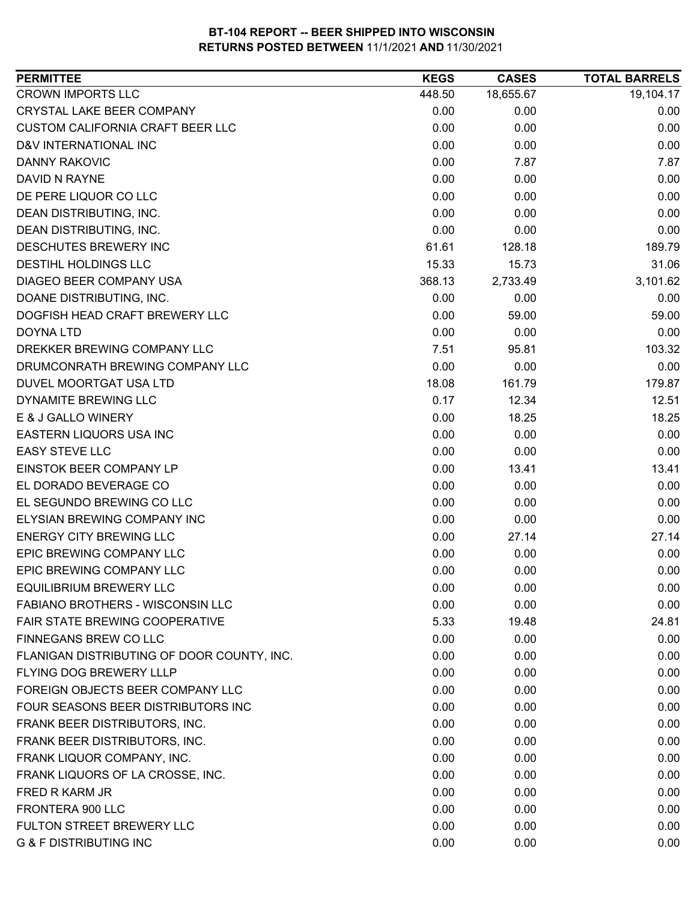| <b>PERMITTEE</b>                           | <b>KEGS</b> | <b>CASES</b> | <b>TOTAL BARRELS</b> |
|--------------------------------------------|-------------|--------------|----------------------|
| <b>CROWN IMPORTS LLC</b>                   | 448.50      | 18,655.67    | 19,104.17            |
| <b>CRYSTAL LAKE BEER COMPANY</b>           | 0.00        | 0.00         | 0.00                 |
| <b>CUSTOM CALIFORNIA CRAFT BEER LLC</b>    | 0.00        | 0.00         | 0.00                 |
| D&V INTERNATIONAL INC                      | 0.00        | 0.00         | 0.00                 |
| <b>DANNY RAKOVIC</b>                       | 0.00        | 7.87         | 7.87                 |
| DAVID N RAYNE                              | 0.00        | 0.00         | 0.00                 |
| DE PERE LIQUOR CO LLC                      | 0.00        | 0.00         | 0.00                 |
| DEAN DISTRIBUTING, INC.                    | 0.00        | 0.00         | 0.00                 |
| DEAN DISTRIBUTING, INC.                    | 0.00        | 0.00         | 0.00                 |
| DESCHUTES BREWERY INC                      | 61.61       | 128.18       | 189.79               |
| DESTIHL HOLDINGS LLC                       | 15.33       | 15.73        | 31.06                |
| DIAGEO BEER COMPANY USA                    | 368.13      | 2,733.49     | 3,101.62             |
| DOANE DISTRIBUTING, INC.                   | 0.00        | 0.00         | 0.00                 |
| DOGFISH HEAD CRAFT BREWERY LLC             | 0.00        | 59.00        | 59.00                |
| <b>DOYNA LTD</b>                           | 0.00        | 0.00         | 0.00                 |
| DREKKER BREWING COMPANY LLC                | 7.51        | 95.81        | 103.32               |
| DRUMCONRATH BREWING COMPANY LLC            | 0.00        | 0.00         | 0.00                 |
| DUVEL MOORTGAT USA LTD                     | 18.08       | 161.79       | 179.87               |
| DYNAMITE BREWING LLC                       | 0.17        | 12.34        | 12.51                |
| E & J GALLO WINERY                         | 0.00        | 18.25        | 18.25                |
| EASTERN LIQUORS USA INC                    | 0.00        | 0.00         | 0.00                 |
| <b>EASY STEVE LLC</b>                      | 0.00        | 0.00         | 0.00                 |
| EINSTOK BEER COMPANY LP                    | 0.00        | 13.41        | 13.41                |
| EL DORADO BEVERAGE CO                      | 0.00        | 0.00         | 0.00                 |
| EL SEGUNDO BREWING CO LLC                  | 0.00        | 0.00         | 0.00                 |
| ELYSIAN BREWING COMPANY INC                | 0.00        | 0.00         | 0.00                 |
| <b>ENERGY CITY BREWING LLC</b>             | 0.00        | 27.14        | 27.14                |
| EPIC BREWING COMPANY LLC                   | 0.00        | 0.00         | 0.00                 |
| EPIC BREWING COMPANY LLC                   | 0.00        | 0.00         | 0.00                 |
| <b>EQUILIBRIUM BREWERY LLC</b>             | 0.00        | 0.00         | 0.00                 |
| FABIANO BROTHERS - WISCONSIN LLC           | 0.00        | 0.00         | 0.00                 |
| FAIR STATE BREWING COOPERATIVE             | 5.33        | 19.48        | 24.81                |
| FINNEGANS BREW CO LLC                      | 0.00        | 0.00         | 0.00                 |
| FLANIGAN DISTRIBUTING OF DOOR COUNTY, INC. | 0.00        | 0.00         | 0.00                 |
| FLYING DOG BREWERY LLLP                    | 0.00        | 0.00         | 0.00                 |
| FOREIGN OBJECTS BEER COMPANY LLC           | 0.00        | 0.00         | 0.00                 |
| FOUR SEASONS BEER DISTRIBUTORS INC         | 0.00        | 0.00         | 0.00                 |
| FRANK BEER DISTRIBUTORS, INC.              | 0.00        | 0.00         | 0.00                 |
| FRANK BEER DISTRIBUTORS, INC.              | 0.00        | 0.00         | 0.00                 |
| FRANK LIQUOR COMPANY, INC.                 | 0.00        | 0.00         | 0.00                 |
| FRANK LIQUORS OF LA CROSSE, INC.           | 0.00        | 0.00         | 0.00                 |
| FRED R KARM JR                             | 0.00        | 0.00         | 0.00                 |
| FRONTERA 900 LLC                           | 0.00        | 0.00         | 0.00                 |
| FULTON STREET BREWERY LLC                  | 0.00        | 0.00         | 0.00                 |
| <b>G &amp; F DISTRIBUTING INC</b>          | 0.00        | 0.00         | 0.00                 |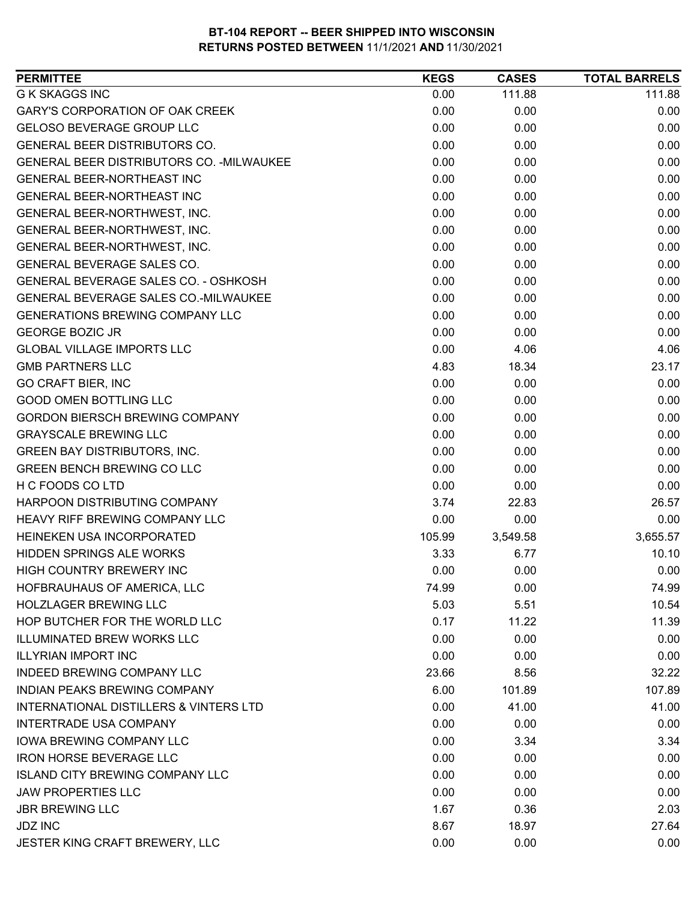| <b>PERMITTEE</b>                            | <b>KEGS</b> | <b>CASES</b> | <b>TOTAL BARRELS</b> |
|---------------------------------------------|-------------|--------------|----------------------|
| <b>G K SKAGGS INC</b>                       | 0.00        | 111.88       | 111.88               |
| <b>GARY'S CORPORATION OF OAK CREEK</b>      | 0.00        | 0.00         | 0.00                 |
| <b>GELOSO BEVERAGE GROUP LLC</b>            | 0.00        | 0.00         | 0.00                 |
| <b>GENERAL BEER DISTRIBUTORS CO.</b>        | 0.00        | 0.00         | 0.00                 |
| GENERAL BEER DISTRIBUTORS CO. - MILWAUKEE   | 0.00        | 0.00         | 0.00                 |
| <b>GENERAL BEER-NORTHEAST INC</b>           | 0.00        | 0.00         | 0.00                 |
| GENERAL BEER-NORTHEAST INC                  | 0.00        | 0.00         | 0.00                 |
| GENERAL BEER-NORTHWEST, INC.                | 0.00        | 0.00         | 0.00                 |
| GENERAL BEER-NORTHWEST, INC.                | 0.00        | 0.00         | 0.00                 |
| GENERAL BEER-NORTHWEST, INC.                | 0.00        | 0.00         | 0.00                 |
| GENERAL BEVERAGE SALES CO.                  | 0.00        | 0.00         | 0.00                 |
| GENERAL BEVERAGE SALES CO. - OSHKOSH        | 0.00        | 0.00         | 0.00                 |
| <b>GENERAL BEVERAGE SALES CO.-MILWAUKEE</b> | 0.00        | 0.00         | 0.00                 |
| <b>GENERATIONS BREWING COMPANY LLC</b>      | 0.00        | 0.00         | 0.00                 |
| <b>GEORGE BOZIC JR</b>                      | 0.00        | 0.00         | 0.00                 |
| <b>GLOBAL VILLAGE IMPORTS LLC</b>           | 0.00        | 4.06         | 4.06                 |
| <b>GMB PARTNERS LLC</b>                     | 4.83        | 18.34        | 23.17                |
| <b>GO CRAFT BIER, INC</b>                   | 0.00        | 0.00         | 0.00                 |
| <b>GOOD OMEN BOTTLING LLC</b>               | 0.00        | 0.00         | 0.00                 |
| <b>GORDON BIERSCH BREWING COMPANY</b>       | 0.00        | 0.00         | 0.00                 |
| <b>GRAYSCALE BREWING LLC</b>                | 0.00        | 0.00         | 0.00                 |
| <b>GREEN BAY DISTRIBUTORS, INC.</b>         | 0.00        | 0.00         | 0.00                 |
| <b>GREEN BENCH BREWING CO LLC</b>           | 0.00        | 0.00         | 0.00                 |
| H C FOODS CO LTD                            | 0.00        | 0.00         | 0.00                 |
| HARPOON DISTRIBUTING COMPANY                | 3.74        | 22.83        | 26.57                |
| <b>HEAVY RIFF BREWING COMPANY LLC</b>       | 0.00        | 0.00         | 0.00                 |
| HEINEKEN USA INCORPORATED                   | 105.99      | 3,549.58     | 3,655.57             |
| <b>HIDDEN SPRINGS ALE WORKS</b>             | 3.33        | 6.77         | 10.10                |
| <b>HIGH COUNTRY BREWERY INC</b>             | 0.00        | 0.00         | 0.00                 |
| HOFBRAUHAUS OF AMERICA, LLC                 | 74.99       | 0.00         | 74.99                |
| <b>HOLZLAGER BREWING LLC</b>                | 5.03        | 5.51         | 10.54                |
| HOP BUTCHER FOR THE WORLD LLC               | 0.17        | 11.22        | 11.39                |
| ILLUMINATED BREW WORKS LLC                  | 0.00        | 0.00         | 0.00                 |
| <b>ILLYRIAN IMPORT INC</b>                  | 0.00        | 0.00         | 0.00                 |
| <b>INDEED BREWING COMPANY LLC</b>           | 23.66       | 8.56         | 32.22                |
| INDIAN PEAKS BREWING COMPANY                | 6.00        | 101.89       | 107.89               |
| INTERNATIONAL DISTILLERS & VINTERS LTD      | 0.00        | 41.00        | 41.00                |
| <b>INTERTRADE USA COMPANY</b>               | 0.00        | 0.00         | 0.00                 |
| <b>IOWA BREWING COMPANY LLC</b>             | 0.00        | 3.34         | 3.34                 |
| <b>IRON HORSE BEVERAGE LLC</b>              | 0.00        | 0.00         | 0.00                 |
| <b>ISLAND CITY BREWING COMPANY LLC</b>      | 0.00        | 0.00         | 0.00                 |
| <b>JAW PROPERTIES LLC</b>                   | 0.00        | 0.00         | 0.00                 |
| <b>JBR BREWING LLC</b>                      | 1.67        | 0.36         | 2.03                 |
| <b>JDZ INC</b>                              | 8.67        | 18.97        | 27.64                |
| JESTER KING CRAFT BREWERY, LLC              | 0.00        | 0.00         | 0.00                 |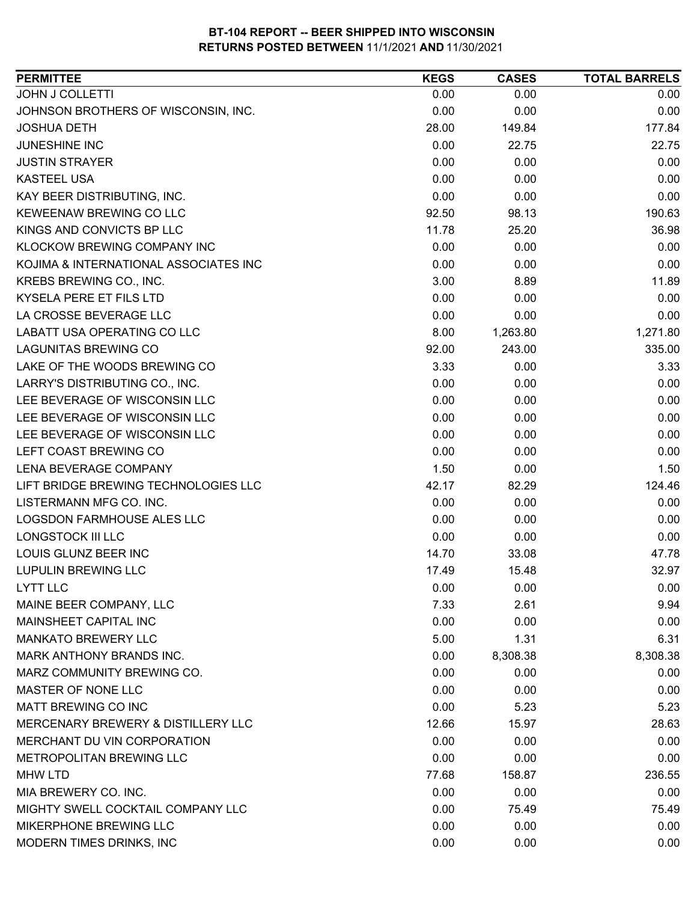| <b>PERMITTEE</b>                      | <b>KEGS</b> | <b>CASES</b> | <b>TOTAL BARRELS</b> |
|---------------------------------------|-------------|--------------|----------------------|
| <b>JOHN J COLLETTI</b>                | 0.00        | 0.00         | 0.00                 |
| JOHNSON BROTHERS OF WISCONSIN, INC.   | 0.00        | 0.00         | 0.00                 |
| <b>JOSHUA DETH</b>                    | 28.00       | 149.84       | 177.84               |
| <b>JUNESHINE INC</b>                  | 0.00        | 22.75        | 22.75                |
| <b>JUSTIN STRAYER</b>                 | 0.00        | 0.00         | 0.00                 |
| <b>KASTEEL USA</b>                    | 0.00        | 0.00         | 0.00                 |
| KAY BEER DISTRIBUTING, INC.           | 0.00        | 0.00         | 0.00                 |
| KEWEENAW BREWING CO LLC               | 92.50       | 98.13        | 190.63               |
| KINGS AND CONVICTS BP LLC             | 11.78       | 25.20        | 36.98                |
| KLOCKOW BREWING COMPANY INC           | 0.00        | 0.00         | 0.00                 |
| KOJIMA & INTERNATIONAL ASSOCIATES INC | 0.00        | 0.00         | 0.00                 |
| KREBS BREWING CO., INC.               | 3.00        | 8.89         | 11.89                |
| KYSELA PERE ET FILS LTD               | 0.00        | 0.00         | 0.00                 |
| LA CROSSE BEVERAGE LLC                | 0.00        | 0.00         | 0.00                 |
| LABATT USA OPERATING CO LLC           | 8.00        | 1,263.80     | 1,271.80             |
| <b>LAGUNITAS BREWING CO</b>           | 92.00       | 243.00       | 335.00               |
| LAKE OF THE WOODS BREWING CO          | 3.33        | 0.00         | 3.33                 |
| LARRY'S DISTRIBUTING CO., INC.        | 0.00        | 0.00         | 0.00                 |
| LEE BEVERAGE OF WISCONSIN LLC         | 0.00        | 0.00         | 0.00                 |
| LEE BEVERAGE OF WISCONSIN LLC         | 0.00        | 0.00         | 0.00                 |
| LEE BEVERAGE OF WISCONSIN LLC         | 0.00        | 0.00         | 0.00                 |
| LEFT COAST BREWING CO                 | 0.00        | 0.00         | 0.00                 |
| <b>LENA BEVERAGE COMPANY</b>          | 1.50        | 0.00         | 1.50                 |
| LIFT BRIDGE BREWING TECHNOLOGIES LLC  | 42.17       | 82.29        | 124.46               |
| LISTERMANN MFG CO. INC.               | 0.00        | 0.00         | 0.00                 |
| LOGSDON FARMHOUSE ALES LLC            | 0.00        | 0.00         | 0.00                 |
| LONGSTOCK III LLC                     | 0.00        | 0.00         | 0.00                 |
| LOUIS GLUNZ BEER INC                  | 14.70       | 33.08        | 47.78                |
| <b>LUPULIN BREWING LLC</b>            | 17.49       | 15.48        | 32.97                |
| <b>LYTT LLC</b>                       | 0.00        | 0.00         | 0.00                 |
| MAINE BEER COMPANY, LLC               | 7.33        | 2.61         | 9.94                 |
| MAINSHEET CAPITAL INC                 | 0.00        | 0.00         | 0.00                 |
| <b>MANKATO BREWERY LLC</b>            | 5.00        | 1.31         | 6.31                 |
| MARK ANTHONY BRANDS INC.              | 0.00        | 8,308.38     | 8,308.38             |
| MARZ COMMUNITY BREWING CO.            | 0.00        | 0.00         | 0.00                 |
| MASTER OF NONE LLC                    | 0.00        | 0.00         | 0.00                 |
| MATT BREWING CO INC                   | 0.00        | 5.23         | 5.23                 |
| MERCENARY BREWERY & DISTILLERY LLC    | 12.66       | 15.97        | 28.63                |
| MERCHANT DU VIN CORPORATION           | 0.00        | 0.00         | 0.00                 |
| METROPOLITAN BREWING LLC              | 0.00        | 0.00         | 0.00                 |
| <b>MHW LTD</b>                        | 77.68       | 158.87       | 236.55               |
| MIA BREWERY CO. INC.                  | 0.00        | 0.00         | 0.00                 |
| MIGHTY SWELL COCKTAIL COMPANY LLC     | 0.00        | 75.49        | 75.49                |
| MIKERPHONE BREWING LLC                | 0.00        | 0.00         | 0.00                 |
| MODERN TIMES DRINKS, INC              | 0.00        | 0.00         | 0.00                 |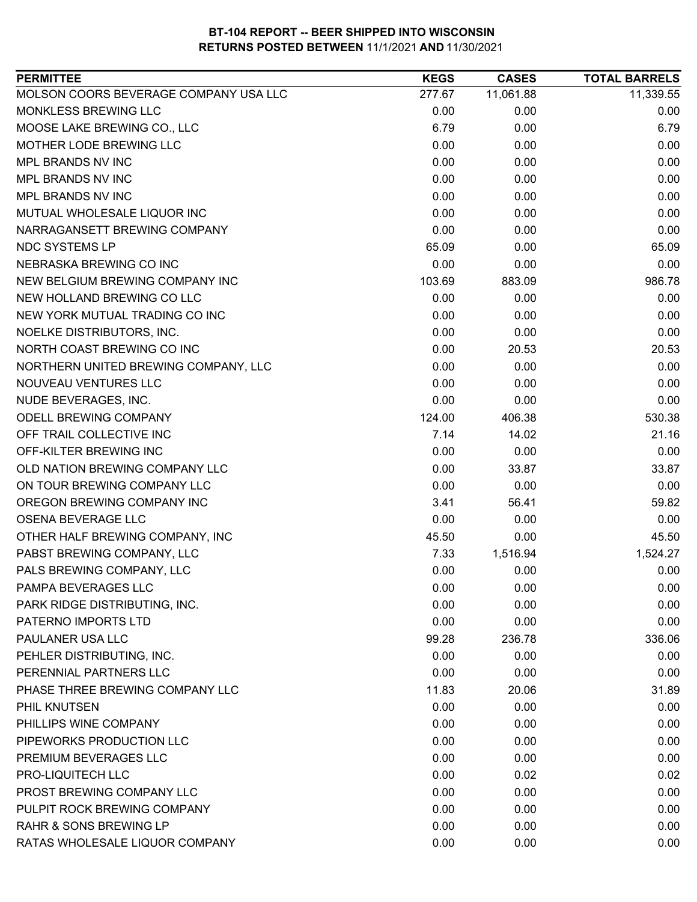| <b>PERMITTEE</b>                      | <b>KEGS</b> | <b>CASES</b> | <b>TOTAL BARRELS</b> |
|---------------------------------------|-------------|--------------|----------------------|
| MOLSON COORS BEVERAGE COMPANY USA LLC | 277.67      | 11,061.88    | 11,339.55            |
| MONKLESS BREWING LLC                  | 0.00        | 0.00         | 0.00                 |
| MOOSE LAKE BREWING CO., LLC           | 6.79        | 0.00         | 6.79                 |
| MOTHER LODE BREWING LLC               | 0.00        | 0.00         | 0.00                 |
| MPL BRANDS NV INC                     | 0.00        | 0.00         | 0.00                 |
| MPL BRANDS NV INC                     | 0.00        | 0.00         | 0.00                 |
| MPL BRANDS NV INC                     | 0.00        | 0.00         | 0.00                 |
| MUTUAL WHOLESALE LIQUOR INC           | 0.00        | 0.00         | 0.00                 |
| NARRAGANSETT BREWING COMPANY          | 0.00        | 0.00         | 0.00                 |
| <b>NDC SYSTEMS LP</b>                 | 65.09       | 0.00         | 65.09                |
| NEBRASKA BREWING CO INC               | 0.00        | 0.00         | 0.00                 |
| NEW BELGIUM BREWING COMPANY INC       | 103.69      | 883.09       | 986.78               |
| NEW HOLLAND BREWING CO LLC            | 0.00        | 0.00         | 0.00                 |
| NEW YORK MUTUAL TRADING CO INC        | 0.00        | 0.00         | 0.00                 |
| NOELKE DISTRIBUTORS, INC.             | 0.00        | 0.00         | 0.00                 |
| NORTH COAST BREWING CO INC            | 0.00        | 20.53        | 20.53                |
| NORTHERN UNITED BREWING COMPANY, LLC  | 0.00        | 0.00         | 0.00                 |
| NOUVEAU VENTURES LLC                  | 0.00        | 0.00         | 0.00                 |
| NUDE BEVERAGES, INC.                  | 0.00        | 0.00         | 0.00                 |
| <b>ODELL BREWING COMPANY</b>          | 124.00      | 406.38       | 530.38               |
| OFF TRAIL COLLECTIVE INC              | 7.14        | 14.02        | 21.16                |
| OFF-KILTER BREWING INC                | 0.00        | 0.00         | 0.00                 |
| OLD NATION BREWING COMPANY LLC        | 0.00        | 33.87        | 33.87                |
| ON TOUR BREWING COMPANY LLC           | 0.00        | 0.00         | 0.00                 |
| OREGON BREWING COMPANY INC            | 3.41        | 56.41        | 59.82                |
| <b>OSENA BEVERAGE LLC</b>             | 0.00        | 0.00         | 0.00                 |
| OTHER HALF BREWING COMPANY, INC       | 45.50       | 0.00         | 45.50                |
| PABST BREWING COMPANY, LLC            | 7.33        | 1,516.94     | 1,524.27             |
| PALS BREWING COMPANY, LLC             | 0.00        | 0.00         | 0.00                 |
| PAMPA BEVERAGES LLC                   | 0.00        | 0.00         | 0.00                 |
| PARK RIDGE DISTRIBUTING, INC.         | 0.00        | 0.00         | 0.00                 |
| PATERNO IMPORTS LTD                   | 0.00        | 0.00         | 0.00                 |
| PAULANER USA LLC                      | 99.28       | 236.78       | 336.06               |
| PEHLER DISTRIBUTING, INC.             | 0.00        | 0.00         | 0.00                 |
| PERENNIAL PARTNERS LLC                | 0.00        | 0.00         | 0.00                 |
| PHASE THREE BREWING COMPANY LLC       | 11.83       | 20.06        | 31.89                |
| PHIL KNUTSEN                          | 0.00        | 0.00         | 0.00                 |
| PHILLIPS WINE COMPANY                 | 0.00        | 0.00         | 0.00                 |
| PIPEWORKS PRODUCTION LLC              | 0.00        | 0.00         | 0.00                 |
| PREMIUM BEVERAGES LLC                 | 0.00        | 0.00         | 0.00                 |
| PRO-LIQUITECH LLC                     | 0.00        | 0.02         | 0.02                 |
| PROST BREWING COMPANY LLC             | 0.00        | 0.00         | 0.00                 |
| PULPIT ROCK BREWING COMPANY           | 0.00        | 0.00         | 0.00                 |
| <b>RAHR &amp; SONS BREWING LP</b>     | 0.00        | 0.00         | 0.00                 |
| RATAS WHOLESALE LIQUOR COMPANY        | 0.00        | 0.00         | 0.00                 |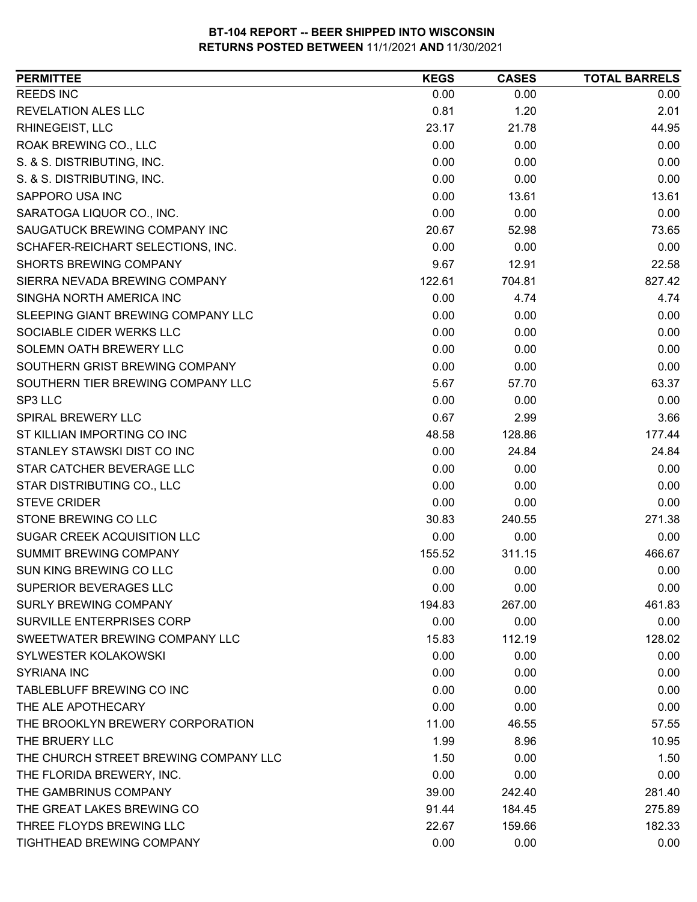| <b>PERMITTEE</b>                      | <b>KEGS</b> | <b>CASES</b> | <b>TOTAL BARRELS</b> |
|---------------------------------------|-------------|--------------|----------------------|
| <b>REEDS INC</b>                      | 0.00        | 0.00         | 0.00                 |
| <b>REVELATION ALES LLC</b>            | 0.81        | 1.20         | 2.01                 |
| RHINEGEIST, LLC                       | 23.17       | 21.78        | 44.95                |
| ROAK BREWING CO., LLC                 | 0.00        | 0.00         | 0.00                 |
| S. & S. DISTRIBUTING, INC.            | 0.00        | 0.00         | 0.00                 |
| S. & S. DISTRIBUTING, INC.            | 0.00        | 0.00         | 0.00                 |
| SAPPORO USA INC                       | 0.00        | 13.61        | 13.61                |
| SARATOGA LIQUOR CO., INC.             | 0.00        | 0.00         | 0.00                 |
| SAUGATUCK BREWING COMPANY INC         | 20.67       | 52.98        | 73.65                |
| SCHAFER-REICHART SELECTIONS, INC.     | 0.00        | 0.00         | 0.00                 |
| <b>SHORTS BREWING COMPANY</b>         | 9.67        | 12.91        | 22.58                |
| SIERRA NEVADA BREWING COMPANY         | 122.61      | 704.81       | 827.42               |
| SINGHA NORTH AMERICA INC              | 0.00        | 4.74         | 4.74                 |
| SLEEPING GIANT BREWING COMPANY LLC    | 0.00        | 0.00         | 0.00                 |
| SOCIABLE CIDER WERKS LLC              | 0.00        | 0.00         | 0.00                 |
| SOLEMN OATH BREWERY LLC               | 0.00        | 0.00         | 0.00                 |
| SOUTHERN GRIST BREWING COMPANY        | 0.00        | 0.00         | 0.00                 |
| SOUTHERN TIER BREWING COMPANY LLC     | 5.67        | 57.70        | 63.37                |
| SP3 LLC                               | 0.00        | 0.00         | 0.00                 |
| SPIRAL BREWERY LLC                    | 0.67        | 2.99         | 3.66                 |
| ST KILLIAN IMPORTING CO INC           | 48.58       | 128.86       | 177.44               |
| STANLEY STAWSKI DIST CO INC           | 0.00        | 24.84        | 24.84                |
| STAR CATCHER BEVERAGE LLC             | 0.00        | 0.00         | 0.00                 |
| STAR DISTRIBUTING CO., LLC            | 0.00        | 0.00         | 0.00                 |
| <b>STEVE CRIDER</b>                   | 0.00        | 0.00         | 0.00                 |
| STONE BREWING CO LLC                  | 30.83       | 240.55       | 271.38               |
| SUGAR CREEK ACQUISITION LLC           | 0.00        | 0.00         | 0.00                 |
| SUMMIT BREWING COMPANY                | 155.52      | 311.15       | 466.67               |
| <b>SUN KING BREWING CO LLC</b>        | 0.00        | 0.00         | 0.00                 |
| <b>SUPERIOR BEVERAGES LLC</b>         | 0.00        | 0.00         | 0.00                 |
| SURLY BREWING COMPANY                 | 194.83      | 267.00       | 461.83               |
| SURVILLE ENTERPRISES CORP             | 0.00        | 0.00         | 0.00                 |
| SWEETWATER BREWING COMPANY LLC        | 15.83       | 112.19       | 128.02               |
| <b>SYLWESTER KOLAKOWSKI</b>           | 0.00        | 0.00         | 0.00                 |
| <b>SYRIANA INC</b>                    | 0.00        | 0.00         | 0.00                 |
| TABLEBLUFF BREWING CO INC             | 0.00        | 0.00         | 0.00                 |
| THE ALE APOTHECARY                    | 0.00        | 0.00         | 0.00                 |
| THE BROOKLYN BREWERY CORPORATION      | 11.00       | 46.55        | 57.55                |
| THE BRUERY LLC                        | 1.99        | 8.96         | 10.95                |
| THE CHURCH STREET BREWING COMPANY LLC | 1.50        | 0.00         | 1.50                 |
| THE FLORIDA BREWERY, INC.             | 0.00        | 0.00         | 0.00                 |
| THE GAMBRINUS COMPANY                 | 39.00       | 242.40       | 281.40               |
| THE GREAT LAKES BREWING CO            | 91.44       | 184.45       | 275.89               |
| THREE FLOYDS BREWING LLC              | 22.67       | 159.66       | 182.33               |
| TIGHTHEAD BREWING COMPANY             | 0.00        | 0.00         | 0.00                 |